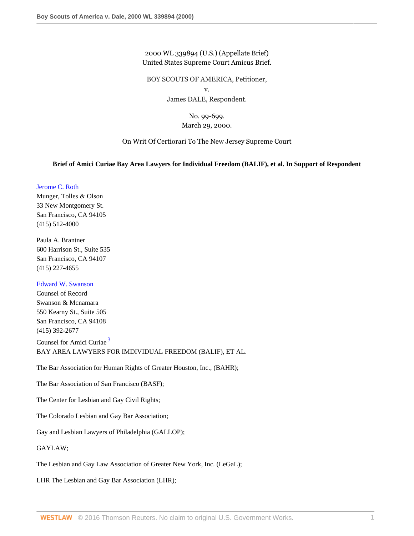2000 WL 339894 (U.S.) (Appellate Brief) United States Supreme Court Amicus Brief.

BOY SCOUTS OF AMERICA, Petitioner, v.

James DALE, Respondent.

## No. 99-699. March 29, 2000.

On Writ Of Certiorari To The New Jersey Supreme Court

## **Brief of Amici Curiae Bay Area Lawyers for Individual Freedom (BALIF), et al. In Support of Respondent**

[Jerome C. Roth](http://www.westlaw.com/Link/Document/FullText?findType=h&pubNum=176284&cite=0257573601&originatingDoc=I0ff6a7736be711d8b50e840760be4d98&refType=RQ&originationContext=document&vr=3.0&rs=cblt1.0&transitionType=DocumentItem&contextData=(sc.Search))

Munger, Tolles & Olson 33 New Montgomery St. San Francisco, CA 94105 (415) 512-4000

Paula A. Brantner 600 Harrison St., Suite 535 San Francisco, CA 94107 (415) 227-4655

#### [Edward W. Swanson](http://www.westlaw.com/Link/Document/FullText?findType=h&pubNum=176284&cite=0285897801&originatingDoc=I0ff6a7736be711d8b50e840760be4d98&refType=RQ&originationContext=document&vr=3.0&rs=cblt1.0&transitionType=DocumentItem&contextData=(sc.Search))

Counsel of Record Swanson & Mcnamara 550 Kearny St., Suite 505 San Francisco, CA 94108 (415) 392-2677

<span id="page-0-0"></span>Counsel for Amici Curiae<sup>[3](#page-9-0)</sup> BAY AREA LAWYERS FOR IMDIVIDUAL FREEDOM (BALIF), ET AL.

The Bar Association for Human Rights of Greater Houston, Inc., (BAHR);

The Bar Association of San Francisco (BASF);

The Center for Lesbian and Gay Civil Rights;

The Colorado Lesbian and Gay Bar Association;

Gay and Lesbian Lawyers of Philadelphia (GALLOP);

GAYLAW;

The Lesbian and Gay Law Association of Greater New York, Inc. (LeGaL);

LHR The Lesbian and Gay Bar Association (LHR);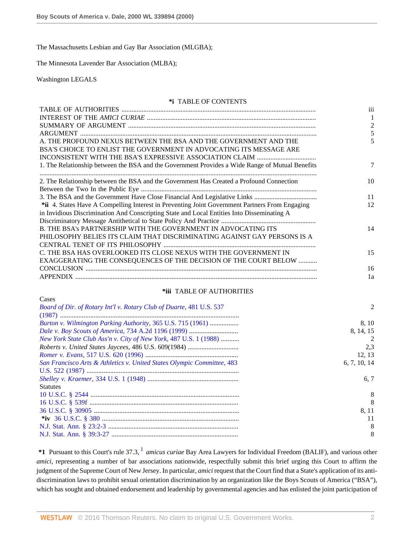The Massachusetts Lesbian and Gay Bar Association (MLGBA);

The Minnesota Lavender Bar Association (MLBA);

Washington LEGALS

#### **\*i** TABLE OF CONTENTS

|                                                                                                 | iii            |
|-------------------------------------------------------------------------------------------------|----------------|
|                                                                                                 |                |
|                                                                                                 | $\mathfrak{D}$ |
|                                                                                                 |                |
| A. THE PROFOUND NEXUS BETWEEN THE BSA AND THE GOVERNMENT AND THE                                |                |
| BSA'S CHOICE TO ENLIST THE GOVERNMENT IN ADVOCATING ITS MESSAGE ARE                             |                |
|                                                                                                 |                |
| 1. The Relationship between the BSA and the Government Provides a Wide Range of Mutual Benefits |                |
|                                                                                                 |                |
| 2. The Relationship between the BSA and the Government Has Created a Profound Connection        | 10             |
|                                                                                                 |                |
|                                                                                                 | 11             |
| *ii 4. States Have A Compelling Interest in Preventing Joint Government Partners From Engaging  | 12             |
| in Invidious Discrimination And Conscripting State and Local Entities Into Disseminating A      |                |
|                                                                                                 |                |
| B. THE BSA's PARTNERSHIP WITH THE GOVERNMENT IN ADVOCATING ITS                                  | 14             |
| PHILOSOPHY BELIES ITS CLAIM THAT DISCRIMINATING AGAINST GAY PERSONS IS A                        |                |
|                                                                                                 |                |
| C. THE BSA HAS OVERLOOKED ITS CLOSE NEXUS WITH THE GOVERNMENT IN                                | 15             |
| EXAGGERATING THE CONSEQUENCES OF THE DECISION OF THE COURT BELOW                                |                |
|                                                                                                 | 16             |
|                                                                                                 | 1a             |
|                                                                                                 |                |

## **\*iii** TABLE OF AUTHORITIES

| Cases                                                                  |                |
|------------------------------------------------------------------------|----------------|
| Board of Dir. of Rotary Int'l v. Rotary Club of Duarte, 481 U.S. 537   | $\mathfrak{D}$ |
|                                                                        |                |
| Burton v. Wilmington Parking Authority, 365 U.S. 715 (1961)            | 8.10           |
|                                                                        | 8.14.15        |
| New York State Club Ass'n v. City of New York, 487 U.S. 1 (1988)       | $\overline{2}$ |
|                                                                        | 2,3            |
|                                                                        | 12, 13         |
| San Francisco Arts & Athletics v. United States Olympic Committee, 483 | 6, 7, 10, 14   |
|                                                                        |                |
|                                                                        | 6.7            |
| <b>Statutes</b>                                                        |                |
|                                                                        | 8              |
|                                                                        | 8              |
|                                                                        | 8, 11          |
|                                                                        | 11             |
|                                                                        | 8              |
|                                                                        | 8              |

<span id="page-1-0"></span>\*[1](#page-10-0) Pursuant to this Court's rule 37.3, <sup>1</sup> amicus curiae Bay Area Lawyers for Individual Freedom (BALIF), and various other *amici*, representing a number of bar associations nationwide, respectfully submit this brief urging this Court to affirm the judgment of the Supreme Court of New Jersey. In particular, *amici* request that the Court find that a State's application of its antidiscrimination laws to prohibit sexual orientation discrimination by an organization like the Boys Scouts of America ("BSA"), which has sought and obtained endorsement and leadership by governmental agencies and has enlisted the joint participation of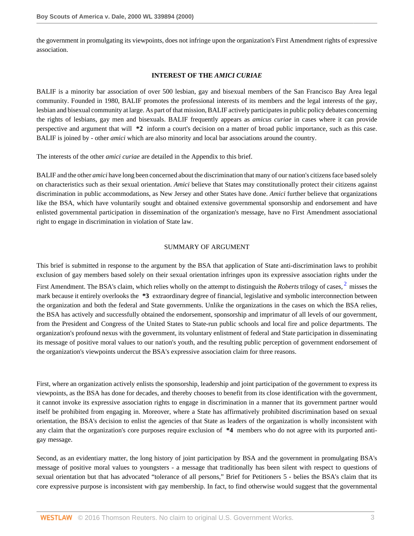the government in promulgating its viewpoints, does not infringe upon the organization's First Amendment rights of expressive association.

### **INTEREST OF THE** *AMICI CURIAE*

BALIF is a minority bar association of over 500 lesbian, gay and bisexual members of the San Francisco Bay Area legal community. Founded in 1980, BALIF promotes the professional interests of its members and the legal interests of the gay, lesbian and bisexual community at large. As part of that mission, BALIF actively participates in public policy debates concerning the rights of lesbians, gay men and bisexuals. BALIF frequently appears as *amicus curiae* in cases where it can provide perspective and argument that will **\*2** inform a court's decision on a matter of broad public importance, such as this case. BALIF is joined by - other *amici* which are also minority and local bar associations around the country.

The interests of the other *amici curiae* are detailed in the Appendix to this brief.

BALIF and the other *amici* have long been concerned about the discrimination that many of our nation's citizens face based solely on characteristics such as their sexual orientation. *Amici* believe that States may constitutionally protect their citizens against discrimination in public accommodations, as New Jersey and other States have done. *Amici* further believe that organizations like the BSA, which have voluntarily sought and obtained extensive governmental sponsorship and endorsement and have enlisted governmental participation in dissemination of the organization's message, have no First Amendment associational right to engage in discrimination in violation of State law.

## <span id="page-2-0"></span>SUMMARY OF ARGUMENT

This brief is submitted in response to the argument by the BSA that application of State anti-discrimination laws to prohibit exclusion of gay members based solely on their sexual orientation infringes upon its expressive association rights under the First Amendment. The BSA's claim, which relies wholly on the attempt to distinguish the *Roberts* trilogy of cases, <sup>[2](#page-10-1)</sup> misses the

mark because it entirely overlooks the **\*3** extraordinary degree of financial, legislative and symbolic interconnection between the organization and both the federal and State governments. Unlike the organizations in the cases on which the BSA relies, the BSA has actively and successfully obtained the endorsement, sponsorship and imprimatur of all levels of our government, from the President and Congress of the United States to State-run public schools and local fire and police departments. The organization's profound nexus with the government, its voluntary enlistment of federal and State participation in disseminating its message of positive moral values to our nation's youth, and the resulting public perception of government endorsement of the organization's viewpoints undercut the BSA's expressive association claim for three reasons.

First, where an organization actively enlists the sponsorship, leadership and joint participation of the government to express its viewpoints, as the BSA has done for decades, and thereby chooses to benefit from its close identification with the government, it cannot invoke its expressive association rights to engage in discrimination in a manner that its government partner would itself be prohibited from engaging in. Moreover, where a State has affirmatively prohibited discrimination based on sexual orientation, the BSA's decision to enlist the agencies of that State as leaders of the organization is wholly inconsistent with any claim that the organization's core purposes require exclusion of **\*4** members who do not agree with its purported antigay message.

Second, as an evidentiary matter, the long history of joint participation by BSA and the government in promulgating BSA's message of positive moral values to youngsters - a message that traditionally has been silent with respect to questions of sexual orientation but that has advocated "tolerance of all persons," Brief for Petitioners 5 - belies the BSA's claim that its core expressive purpose is inconsistent with gay membership. In fact, to find otherwise would suggest that the governmental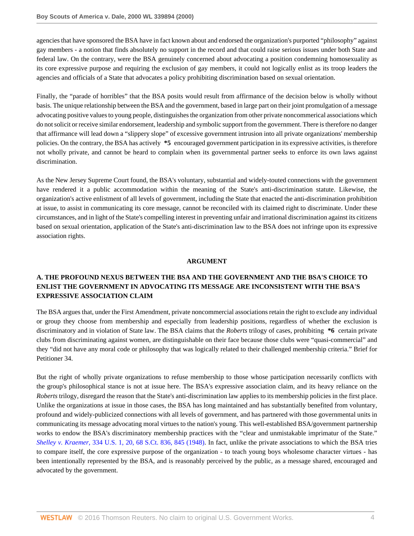agencies that have sponsored the BSA have in fact known about and endorsed the organization's purported "philosophy" against gay members - a notion that finds absolutely no support in the record and that could raise serious issues under both State and federal law. On the contrary, were the BSA genuinely concerned about advocating a position condemning homosexuality as its core expressive purpose and requiring the exclusion of gay members, it could not logically enlist as its troop leaders the agencies and officials of a State that advocates a policy prohibiting discrimination based on sexual orientation.

Finally, the "parade of horribles" that the BSA posits would result from affirmance of the decision below is wholly without basis. The unique relationship between the BSA and the government, based in large part on their joint promulgation of a message advocating positive values to young people, distinguishes the organization from other private noncommerical associations which do not solicit or receive similar endorsement, leadership and symbolic support from the government. There is therefore no danger that affirmance will lead down a "slippery slope" of excessive government intrusion into all private organizations' membership policies. On the contrary, the BSA has actively **\*5** encouraged government participation in its expressive activities, is therefore not wholly private, and cannot be heard to complain when its governmental partner seeks to enforce its own laws against discrimination.

As the New Jersey Supreme Court found, the BSA's voluntary, substantial and widely-touted connections with the government have rendered it a public accommodation within the meaning of the State's anti-discrimination statute. Likewise, the organization's active enlistment of all levels of government, including the State that enacted the anti-discrimination prohibition at issue, to assist in communicating its core message, cannot be reconciled with its claimed right to discriminate. Under these circumstances, and in light of the State's compelling interest in preventing unfair and irrational discrimination against its citizens based on sexual orientation, application of the State's anti-discrimination law to the BSA does not infringe upon its expressive association rights.

### **ARGUMENT**

# **A. THE PROFOUND NEXUS BETWEEN THE BSA AND THE GOVERNMENT AND THE BSA'S CHOICE TO ENLIST THE GOVERNMENT IN ADVOCATING ITS MESSAGE ARE INCONSISTENT WITH THE BSA'S EXPRESSIVE ASSOCIATION CLAIM**

The BSA argues that, under the First Amendment, private noncommercial associations retain the right to exclude any individual or group they choose from membership and especially from leadership positions, regardless of whether the exclusion is discriminatory and in violation of State law. The BSA claims that the *Roberts* trilogy of cases, prohibiting **\*6** certain private clubs from discriminating against women, are distinguishable on their face because those clubs were "quasi-commercial" and they "did not have any moral code or philosophy that was logically related to their challenged membership criteria." Brief for Petitioner 34.

But the right of wholly private organizations to refuse membership to those whose participation necessarily conflicts with the group's philosophical stance is not at issue here. The BSA's expressive association claim, and its heavy reliance on the *Roberts* trilogy, disregard the reason that the State's anti-discrimination law applies to its membership policies in the first place. Unlike the organizations at issue in those cases, the BSA has long maintained and has substantially benefited from voluntary, profound and widely-publicized connections with all levels of government, and has partnered with those governmental units in communicating its message advocating moral virtues to the nation's young. This well-established BSA/government partnership works to endow the BSA's discriminatory membership practices with the "clear and unmistakable imprimatur of the State." *Shelley v. Kraemer,* [334 U.S. 1, 20, 68 S.Ct. 836, 845 \(1948\).](http://www.westlaw.com/Link/Document/FullText?findType=Y&serNum=1948118404&pubNum=708&originatingDoc=I0ff6a7736be711d8b50e840760be4d98&refType=RP&fi=co_pp_sp_708_845&originationContext=document&vr=3.0&rs=cblt1.0&transitionType=DocumentItem&contextData=(sc.Search)#co_pp_sp_708_845) In fact, unlike the private associations to which the BSA tries to compare itself, the core expressive purpose of the organization - to teach young boys wholesome character virtues - has been intentionally represented by the BSA, and is reasonably perceived by the public, as a message shared, encouraged and advocated by the government.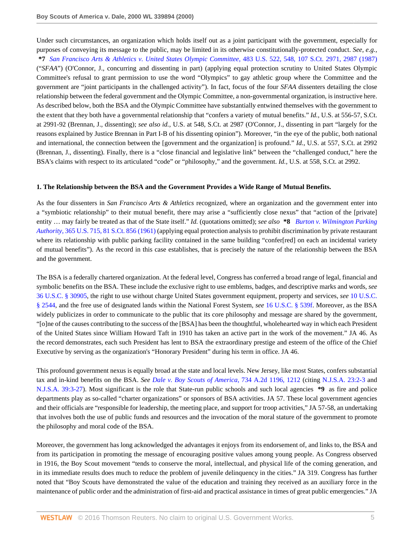Under such circumstances, an organization which holds itself out as a joint participant with the government, especially for purposes of conveying its message to the public, may be limited in its otherwise constitutionally-protected conduct. *See, e.g.,* **\*7** *[San Francisco Arts & Athletics v. United States Olympic Committee,](http://www.westlaw.com/Link/Document/FullText?findType=Y&serNum=1987079680&pubNum=708&originatingDoc=I0ff6a7736be711d8b50e840760be4d98&refType=RP&fi=co_pp_sp_708_2987&originationContext=document&vr=3.0&rs=cblt1.0&transitionType=DocumentItem&contextData=(sc.Search)#co_pp_sp_708_2987)* 483 U.S. 522, 548, 107 S.Ct. 2971, 2987 (1987) ("*SFAA*") (O'Connor, J., concurring and dissenting in part) (applying equal protection scrutiny to United States Olympic Committee's refusal to grant permission to use the word "Olympics" to gay athletic group where the Committee and the government are "joint participants in the challenged activity"). In fact, focus of the four *SFAA* dissenters detailing the close relationship between the federal government and the Olympic Committee, a non-governmental organization, is instructive here. As described below, both the BSA and the Olympic Committee have substantially entwined themselves with the government to the extent that they both have a governmental relationship that "confers a variety of mutual benefits." *Id.*, U.S. at 556-57, S.Ct. at 2991-92 (Brennan, J., dissenting); *see also id.*, U.S. at 548, S.Ct. at 2987 (O'Connor, J., dissenting in part "largely for the reasons explained by Justice Brennan in Part I-B of his dissenting opinion"). Moreover, "in the eye of the public, both national and international, the connection between the [government and the organization] is profound." *Id.*, U.S. at 557, S.Ct. at 2992 (Brennan, J., dissenting). Finally, there is a "close financial and legislative link" between the "challenged conduct," here the BSA's claims with respect to its articulated "code" or "philosophy," and the government. *Id.,* U.S. at 558, S.Ct. at 2992.

#### **1. The Relationship between the BSA and the Government Provides a Wide Range of Mutual Benefits.**

As the four dissenters in *San Francisco Arts & Athletics* recognized, where an organization and the government enter into a "symbiotic relationship" to their mutual benefit, there may arise a "sufficiently close nexus" that "action of the [private] entity … may fairly be treated as that of the State itself." *Id.* (quotations omitted); *see also* **\*8** *[Burton v. Wilmington Parking](http://www.westlaw.com/Link/Document/FullText?findType=Y&serNum=1961100551&pubNum=708&originatingDoc=I0ff6a7736be711d8b50e840760be4d98&refType=RP&originationContext=document&vr=3.0&rs=cblt1.0&transitionType=DocumentItem&contextData=(sc.Search)) Authority,* [365 U.S. 715, 81 S.Ct. 856 \(1961\)](http://www.westlaw.com/Link/Document/FullText?findType=Y&serNum=1961100551&pubNum=708&originatingDoc=I0ff6a7736be711d8b50e840760be4d98&refType=RP&originationContext=document&vr=3.0&rs=cblt1.0&transitionType=DocumentItem&contextData=(sc.Search)) (applying equal protection analysis to prohibit discrimination by private restaurant where its relationship with public parking facility contained in the same building "confer[red] on each an incidental variety of mutual benefits"). As the record in this case establishes, that is precisely the nature of the relationship between the BSA and the government.

The BSA is a federally chartered organization. At the federal level, Congress has conferred a broad range of legal, financial and symbolic benefits on the BSA. These include the exclusive right to use emblems, badges, and descriptive marks and words, *see* [36 U.S.C. § 30905,](http://www.westlaw.com/Link/Document/FullText?findType=L&pubNum=1000546&cite=36USCAS30905&originatingDoc=I0ff6a7736be711d8b50e840760be4d98&refType=LQ&originationContext=document&vr=3.0&rs=cblt1.0&transitionType=DocumentItem&contextData=(sc.Search)) the right to use without charge United States government equipment, property and services, *see* [10 U.S.C.](http://www.westlaw.com/Link/Document/FullText?findType=L&pubNum=1000546&cite=10USCAS2544&originatingDoc=I0ff6a7736be711d8b50e840760be4d98&refType=LQ&originationContext=document&vr=3.0&rs=cblt1.0&transitionType=DocumentItem&contextData=(sc.Search)) [§ 2544,](http://www.westlaw.com/Link/Document/FullText?findType=L&pubNum=1000546&cite=10USCAS2544&originatingDoc=I0ff6a7736be711d8b50e840760be4d98&refType=LQ&originationContext=document&vr=3.0&rs=cblt1.0&transitionType=DocumentItem&contextData=(sc.Search)) and the free use of designated lands within the National Forest System, *see* [16 U.S.C. § 539f](http://www.westlaw.com/Link/Document/FullText?findType=L&pubNum=1000546&cite=16USCAS539F&originatingDoc=I0ff6a7736be711d8b50e840760be4d98&refType=LQ&originationContext=document&vr=3.0&rs=cblt1.0&transitionType=DocumentItem&contextData=(sc.Search)). Moreover, as the BSA widely publicizes in order to communicate to the public that its core philosophy and message are shared by the government, "[o]ne of the causes contributing to the success of the [BSA] has been the thoughtful, wholehearted way in which each President of the United States since William Howard Taft in 1910 has taken an active part in the work of the movement." JA 46. As the record demonstrates, each such President has lent to BSA the extraordinary prestige and esteem of the office of the Chief Executive by serving as the organization's "Honorary President" during his term in office. JA 46.

This profound government nexus is equally broad at the state and local levels. New Jersey, like most States, confers substantial tax and in-kind benefits on the BSA. *See [Dale v. Boy Scouts of America,](http://www.westlaw.com/Link/Document/FullText?findType=Y&serNum=1999182240&pubNum=162&originatingDoc=I0ff6a7736be711d8b50e840760be4d98&refType=RP&fi=co_pp_sp_162_1212&originationContext=document&vr=3.0&rs=cblt1.0&transitionType=DocumentItem&contextData=(sc.Search)#co_pp_sp_162_1212)* 734 A.2d 1196, 1212 (citing [N.J.S.A. 23:2-3](http://www.westlaw.com/Link/Document/FullText?findType=L&pubNum=1000045&cite=NJST23%3a2-3&originatingDoc=I0ff6a7736be711d8b50e840760be4d98&refType=LQ&originationContext=document&vr=3.0&rs=cblt1.0&transitionType=DocumentItem&contextData=(sc.Search)) and [N.J.S.A. 39:3-27](http://www.westlaw.com/Link/Document/FullText?findType=L&pubNum=1000045&cite=NJST39%3a3-27&originatingDoc=I0ff6a7736be711d8b50e840760be4d98&refType=LQ&originationContext=document&vr=3.0&rs=cblt1.0&transitionType=DocumentItem&contextData=(sc.Search))). Most significant is the role that State-run public schools and such local agencies **\*9** as fire and police departments play as so-called "charter organizations" or sponsors of BSA activities. JA 57. These local government agencies and their officials are "responsible for leadership, the meeting place, and support for troop activities," JA 57-58, an undertaking that involves both the use of public funds and resources and the invocation of the moral stature of the government to promote the philosophy and moral code of the BSA.

Moreover, the government has long acknowledged the advantages it enjoys from its endorsement of, and links to, the BSA and from its participation in promoting the message of encouraging positive values among young people. As Congress observed in 1916, the Boy Scout movement "tends to conserve the moral, intellectual, and physical life of the coming generation, and in its immediate results does much to reduce the problem of juvenile delinquency in the cities." JA 319. Congress has further noted that "Boy Scouts have demonstrated the value of the education and training they received as an auxiliary force in the maintenance of public order and the administration of first-aid and practical assistance in times of great public emergencies." JA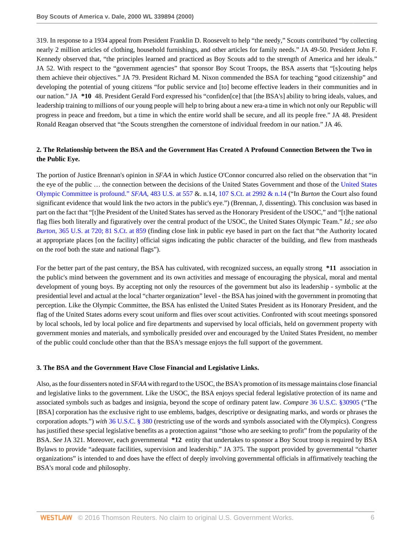319. In response to a 1934 appeal from President Franklin D. Roosevelt to help "the needy," Scouts contributed "by collecting nearly 2 million articles of clothing, household furnishings, and other articles for family needs." JA 49-50. President John F. Kennedy observed that, "the principles learned and practiced as Boy Scouts add to the strength of America and her ideals." JA 52. With respect to the "government agencies" that sponsor Boy Scout Troops, the BSA asserts that "[s]couting helps them achieve their objectives." JA 79. President Richard M. Nixon commended the BSA for teaching "good citizenship" and developing the potential of young citizens "for public service and [to] become effective leaders in their communities and in our nation." JA **\*10** 48. President Gerald Ford expressed his "confiden[ce] that [the BSA's] ability to bring ideals, values, and leadership training to millions of our young people will help to bring about a new era-a time in which not only our Republic will progress in peace and freedom, but a time in which the entire world shall be secure, and all its people free." JA 48. President Ronald Reagan observed that "the Scouts strengthen the cornerstone of individual freedom in our nation." JA 46.

# **2. The Relationship between the BSA and the Government Has Created A Profound Connection Between the Two in the Public Eye.**

The portion of Justice Brennan's opinion in *SFAA* in which Justice O'Connor concurred also relied on the observation that "in the eye of the public … the connection between the decisions of the United States Government and those of the [United States](http://www.westlaw.com/Link/Document/FullText?findType=Y&serNum=1987079680&pubNum=780&originatingDoc=I0ff6a7736be711d8b50e840760be4d98&refType=RP&fi=co_pp_sp_780_557&originationContext=document&vr=3.0&rs=cblt1.0&transitionType=DocumentItem&contextData=(sc.Search)#co_pp_sp_780_557) [Olympic Committee is profound."](http://www.westlaw.com/Link/Document/FullText?findType=Y&serNum=1987079680&pubNum=780&originatingDoc=I0ff6a7736be711d8b50e840760be4d98&refType=RP&fi=co_pp_sp_780_557&originationContext=document&vr=3.0&rs=cblt1.0&transitionType=DocumentItem&contextData=(sc.Search)#co_pp_sp_780_557) *SFAA*, 483 U.S. at 557 &. n.14, [107 S.Ct. at 2992 & n.14](http://www.westlaw.com/Link/Document/FullText?findType=Y&serNum=1987079680&pubNum=708&originatingDoc=I0ff6a7736be711d8b50e840760be4d98&refType=RP&fi=co_pp_sp_708_2992&originationContext=document&vr=3.0&rs=cblt1.0&transitionType=DocumentItem&contextData=(sc.Search)#co_pp_sp_708_2992) ("In *Burton* the Court also found significant evidence that would link the two actors in the public's eye.") (Brennan, J, dissenting). This conclusion was based in part on the fact that "[t]he President of the United States has served as the Honorary President of the USOC," and "[t]he national flag flies both literally and figuratively over the central product of the USOC, the United States Olympic Team." *Id.; see also Burton*[, 365 U.S. at 720;](http://www.westlaw.com/Link/Document/FullText?findType=Y&serNum=1961100551&pubNum=780&originatingDoc=I0ff6a7736be711d8b50e840760be4d98&refType=RP&fi=co_pp_sp_780_720&originationContext=document&vr=3.0&rs=cblt1.0&transitionType=DocumentItem&contextData=(sc.Search)#co_pp_sp_780_720) [81 S.Ct. at 859](http://www.westlaw.com/Link/Document/FullText?findType=Y&serNum=1961100551&pubNum=708&originatingDoc=I0ff6a7736be711d8b50e840760be4d98&refType=RP&fi=co_pp_sp_708_859&originationContext=document&vr=3.0&rs=cblt1.0&transitionType=DocumentItem&contextData=(sc.Search)#co_pp_sp_708_859) (finding close link in public eye based in part on the fact that "the Authority located at appropriate places [on the facility] official signs indicating the public character of the building, and flew from mastheads on the roof both the state and national flags").

For the better part of the past century, the BSA has cultivated, with recognized success, an equally strong **\*11** association in the public's mind between the government and its own activities and message of encouraging the physical, moral and mental development of young boys. By accepting not only the resources of the government but also its leadership - symbolic at the presidential level and actual at the local "charter organization" level - the BSA has joined with the government in promoting that perception. Like the Olympic Committee, the BSA has enlisted the United States President as its Honorary President, and the flag of the United States adorns every scout uniform and flies over scout activities. Confronted with scout meetings sponsored by local schools, led by local police and fire departments and supervised by local officials, held on government property with government monies and materials, and symbolically presided over and encouraged by the United States President, no member of the public could conclude other than that the BSA's message enjoys the full support of the government.

## **3. The BSA and the Government Have Close Financial and Legislative Links.**

Also, as the four dissenters noted in *SFAA* with regard to the USOC, the BSA's promotion of its message maintains close financial and legislative links to the government. Like the USOC, the BSA enjoys special federal legislative protection of its name and associated symbols such as badges and insignia, beyond the scope of ordinary patent law. *Compare* [36 U.S.C. §30905](http://www.westlaw.com/Link/Document/FullText?findType=L&pubNum=1000546&cite=36USCAS30905&originatingDoc=I0ff6a7736be711d8b50e840760be4d98&refType=LQ&originationContext=document&vr=3.0&rs=cblt1.0&transitionType=DocumentItem&contextData=(sc.Search)) ("The [BSA] corporation has the exclusive right to use emblems, badges, descriptive or designating marks, and words or phrases the corporation adopts.") *with* [36 U.S.C. § 380](http://www.westlaw.com/Link/Document/FullText?findType=L&pubNum=1000546&cite=36USCAS380&originatingDoc=I0ff6a7736be711d8b50e840760be4d98&refType=LQ&originationContext=document&vr=3.0&rs=cblt1.0&transitionType=DocumentItem&contextData=(sc.Search)) (restricting use of the words and symbols associated with the Olympics). Congress has justified these special legislative benefits as a protection against "those who are seeking to profit" from the popularity of the BSA. *See* JA 321. Moreover, each governmental **\*12** entity that undertakes to sponsor a Boy Scout troop is required by BSA Bylaws to provide "adequate facilities, supervision and leadership." JA 375. The support provided by governmental "charter organizations" is intended to and does have the effect of deeply involving governmental officials in affirmatively teaching the BSA's moral code and philosophy.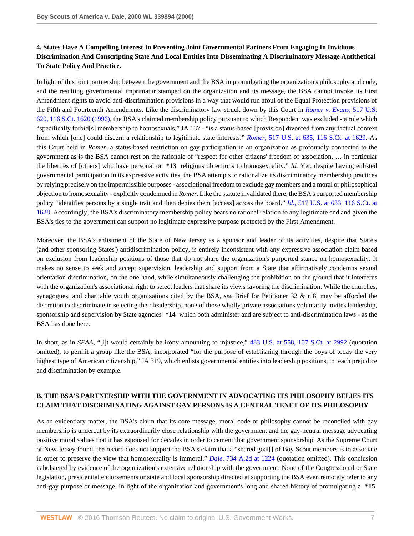# **4. States Have A Compelling Interest In Preventing Joint Governmental Partners From Engaging In Invidious Discrimination And Conscripting State And Local Entities Into Disseminating A Discriminatory Message Antithetical To State Policy And Practice.**

In light of this joint partnership between the government and the BSA in promulgating the organization's philosophy and code, and the resulting governmental imprimatur stamped on the organization and its message, the BSA cannot invoke its First Amendment rights to avoid anti-discrimination provisions in a way that would run afoul of the Equal Protection provisions of the Fifth and Fourteenth Amendments. Like the discriminatory law struck down by this Court in *[Romer v. Evans,](http://www.westlaw.com/Link/Document/FullText?findType=Y&serNum=1996118409&pubNum=708&originatingDoc=I0ff6a7736be711d8b50e840760be4d98&refType=RP&originationContext=document&vr=3.0&rs=cblt1.0&transitionType=DocumentItem&contextData=(sc.Search))* 517 U.S. [620, 116 S.Ct. 1620 \(1996\),](http://www.westlaw.com/Link/Document/FullText?findType=Y&serNum=1996118409&pubNum=708&originatingDoc=I0ff6a7736be711d8b50e840760be4d98&refType=RP&originationContext=document&vr=3.0&rs=cblt1.0&transitionType=DocumentItem&contextData=(sc.Search)) the BSA's claimed membership policy pursuant to which Respondent was excluded - a rule which "specifically forbid[s] membership to homosexuals," JA 137 - "is a status-based [provision] divorced from any factual context from which [one] could discern a relationship to legitimate state interests." *Romer*[, 517 U.S. at 635, 116 S.Ct. at 1629](http://www.westlaw.com/Link/Document/FullText?findType=Y&serNum=1996118409&pubNum=708&originatingDoc=I0ff6a7736be711d8b50e840760be4d98&refType=RP&fi=co_pp_sp_708_1629&originationContext=document&vr=3.0&rs=cblt1.0&transitionType=DocumentItem&contextData=(sc.Search)#co_pp_sp_708_1629). As this Court held in *Romer*, a status-based restriction on gay participation in an organization as profoundly connected to the government as is the BSA cannot rest on the rationale of "respect for other citizens' freedom of association, … in particular the liberties of [others] who have personal or **\*13** religious objections to homosexuality." *Id.* Yet, despite having enlisted governmental participation in its expressive activities, the BSA attempts to rationalize its discriminatory membership practices by relying precisely on the impermissible purposes - associational freedom to exclude gay members and a moral or philosophical objection to homosexuality - explicitly condemned in *Romer.* Like the statute invalidated there, the BSA's purported membership policy "identifies persons by a single trait and then denies them [access] across the board." *Id.*[, 517 U.S. at 633, 116 S.Ct. at](http://www.westlaw.com/Link/Document/FullText?findType=Y&serNum=1996118409&pubNum=708&originatingDoc=I0ff6a7736be711d8b50e840760be4d98&refType=RP&fi=co_pp_sp_708_1628&originationContext=document&vr=3.0&rs=cblt1.0&transitionType=DocumentItem&contextData=(sc.Search)#co_pp_sp_708_1628) [1628](http://www.westlaw.com/Link/Document/FullText?findType=Y&serNum=1996118409&pubNum=708&originatingDoc=I0ff6a7736be711d8b50e840760be4d98&refType=RP&fi=co_pp_sp_708_1628&originationContext=document&vr=3.0&rs=cblt1.0&transitionType=DocumentItem&contextData=(sc.Search)#co_pp_sp_708_1628). Accordingly, the BSA's discriminatory membership policy bears no rational relation to any legitimate end and given the BSA's ties to the government can support no legitimate expressive purpose protected by the First Amendment.

Moreover, the BSA's enlistment of the State of New Jersey as a sponsor and leader of its activities, despite that State's (and other sponsoring States') antidiscrimination policy, is entirely inconsistent with any expressive association claim based on exclusion from leadership positions of those that do not share the organization's purported stance on homosexuality. It makes no sense to seek and accept supervision, leadership and support from a State that affirmatively condemns sexual orientation discrimination, on the one hand, while simultaneously challenging the prohibition on the ground that it interferes with the organization's associational right to select leaders that share its views favoring the discrimination. While the churches, synagogues, and charitable youth organizations cited by the BSA, *see* Brief for Petitioner 32 & n.8, may be afforded the discretion to discriminate in selecting their leadership, none of those wholly private associations voluntarily invites leadership, sponsorship and supervision by State agencies  $*14$  which both administer and are subject to anti-discrimination laws - as the BSA has done here.

In short, as in *SFAA*, "[i]t would certainly be irony amounting to injustice," [483 U.S. at 558, 107 S.Ct. at 2992](http://www.westlaw.com/Link/Document/FullText?findType=Y&serNum=1987079680&pubNum=708&originatingDoc=I0ff6a7736be711d8b50e840760be4d98&refType=RP&fi=co_pp_sp_708_2992&originationContext=document&vr=3.0&rs=cblt1.0&transitionType=DocumentItem&contextData=(sc.Search)#co_pp_sp_708_2992) (quotation omitted), to permit a group like the BSA, incorporated "for the purpose of establishing through the boys of today the very highest type of American citizenship," JA 319, which enlists governmental entities into leadership positions, to teach prejudice and discrimination by example.

# **B. THE BSA'S PARTNERSHIP WITH THE GOVERNMENT IN ADVOCATING ITS PHILOSOPHY BELIES ITS CLAIM THAT DISCRIMINATING AGAINST GAY PERSONS IS A CENTRAL TENET OF ITS PHILOSOPHY**

As an evidentiary matter, the BSA's claim that its core message, moral code or philosophy cannot be reconciled with gay membership is undercut by its extraordinarily close relationship with the government and the gay-neutral message advocating positive moral values that it has espoused for decades in order to cement that government sponsorship. As the Supreme Court of New Jersey found, the record does not support the BSA's claim that a "shared goal[] of Boy Scout members is to associate in order to preserve the view that homosexuality is immoral." *Dale*[, 734 A.2d at 1224](http://www.westlaw.com/Link/Document/FullText?findType=Y&serNum=1999182240&pubNum=162&originatingDoc=I0ff6a7736be711d8b50e840760be4d98&refType=RP&fi=co_pp_sp_162_1224&originationContext=document&vr=3.0&rs=cblt1.0&transitionType=DocumentItem&contextData=(sc.Search)#co_pp_sp_162_1224) (quotation omitted). This conclusion is bolstered by evidence of the organization's extensive relationship with the government. None of the Congressional or State legislation, presidential endorsements or state and local sponsorship directed at supporting the BSA even remotely refer to any anti-gay purpose or message. In light of the organization and government's long and shared history of promulgating a **\*15**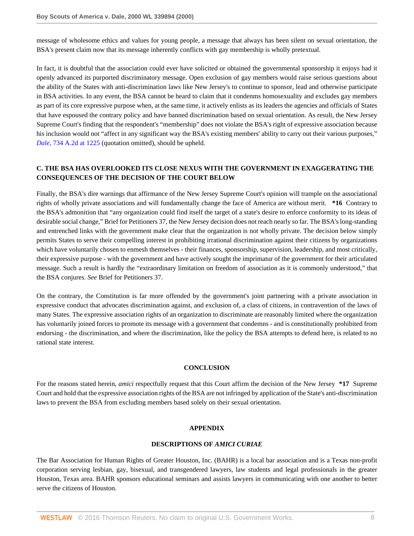message of wholesome ethics and values for young people, a message that always has been silent on sexual orientation, the BSA's present claim now that its message inherently conflicts with gay membership is wholly pretextual.

In fact, it is doubtful that the association could ever have solicited or obtained the governmental sponsorship it enjoys had it openly advanced its purported discriminatory message. Open exclusion of gay members would raise serious questions about the ability of the States with anti-discrimination laws like New Jersey's to continue to sponsor, lead and otherwise participate in BSA activities. In any event, the BSA cannot be heard to claim that it condenms homosexuality and excludes gay members as part of its core expressive purpose when, at the same time, it actively enlists as its leaders the agencies and officials of States that have espoused the contrary policy and have banned discrimination based on sexual orientation. As result, the New Jersey Supreme Court's finding that the respondent's "membership" does not violate the BSA's right of expressive association because his inclusion would not "affect in any significant way the BSA's existing members' ability to carry out their various purposes," *Dale*[, 734 A.2d at 1225](http://www.westlaw.com/Link/Document/FullText?findType=Y&serNum=1999182240&pubNum=162&originatingDoc=I0ff6a7736be711d8b50e840760be4d98&refType=RP&fi=co_pp_sp_162_1225&originationContext=document&vr=3.0&rs=cblt1.0&transitionType=DocumentItem&contextData=(sc.Search)#co_pp_sp_162_1225) (quotation omitted), should be upheld.

## **C. THE BSA HAS OVERLOOKED ITS CLOSE NEXUS WITH THE GOVERNMENT IN EXAGGERATING THE CONSEQUENCES OF THE DECISION OF THE COURT BELOW**

Finally, the BSA's dire warnings that affirmance of the New Jersey Supreme Court's opinion will trample on the associational rights of wholly private associations and will fundamentally change the face of America are without merit. **\*16** Contrary to the BSA's admonition that "any organization could find itself the target of a state's desire to enforce conformity to its ideas of desirable social change," Brief for Petitioners 37, the New Jersey decision does not reach nearly so far. The BSA's long-standing and entrenched links with the government make clear that the organization is not wholly private. The decision below simply permits States to serve their compelling interest in prohibiting irrational discrimination against their citizens by organizations which have voluntarily chosen to enmesh themselves - their finances, sponsorship, supervision, leadership, and most critically, their expressive purpose - with the government and have actively sought the imprimatur of the government for their articulated message. Such a result is hardly the "extraordinary limitation on freedom of association as it is commonly understood," that the BSA conjures. *See* Brief for Petitioners 37.

On the contrary, the Constitution is far more offended by the government's joint partnering with a private association in expressive conduct that advocates discrimination against, and exclusion of, a class of citizens, in contravention of the laws of many States. The expressive association rights of an organization to discriminate are reasonably limited where the organization has voluntarily joined forces to promote its message with a government that condemns - and is constitutionally prohibited from endorsing - the discrimination, and where the discrimination, like the policy the BSA attempts to defend here, is related to no rational state interest.

## **CONCLUSION**

For the reasons stated herein, *amici* respectfully request that this Court affirm the decision of the New Jersey **\*17** Supreme Court and hold that the expressive association rights of the BSA are not infringed by application of the State's anti-discrimination laws to prevent the BSA from excluding members based solely on their sexual orientation.

## **APPENDIX**

#### **DESCRIPTIONS OF** *AMICI CURIAE*

The Bar Association for Human Rights of Greater Houston, Inc. (BAHR) is a local bar association and is a Texas non-profit corporation serving lesbian, gay, bisexual, and transgendered lawyers, law students and legal professionals in the greater Houston, Texas area. BAHR sponsors educational seminars and assists lawyers in communicating with one another to better serve the citizens of Houston.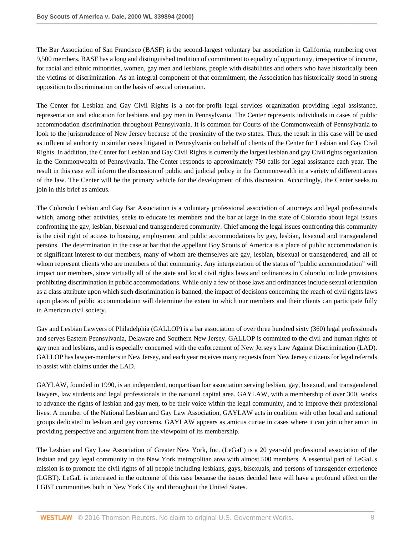The Bar Association of San Francisco (BASF) is the second-largest voluntary bar association in California, numbering over 9,500 members. BASF has a long and distinguished tradition of commitment to equality of opportunity, irrespective of income, for racial and ethnic minorities, women, gay men and lesbians, people with disabilities and others who have historically been the victims of discrimination. As an integral component of that commitment, the Association has historically stood in strong opposition to discrimination on the basis of sexual orientation.

The Center for Lesbian and Gay Civil Rights is a not-for-profit legal services organization providing legal assistance, representation and education for lesbians and gay men in Pennsylvania. The Center represents individuals in cases of public accommodation discrimination throughout Pennsylvania. It is common for Courts of the Commonwealth of Pennsylvania to look to the jurisprudence of New Jersey because of the proximity of the two states. Thus, the result in this case will be used as influential authority in similar cases litigated in Pennsylvania on behalf of clients of the Center for Lesbian and Gay Civil Rights. In addition, the Center for Lesbian and Gay Civil Rights is currently the largest lesbian and gay Civil rights organization in the Commonwealth of Pennsylvania. The Center responds to approximately 750 calls for legal assistance each year. The result in this case will inform the discussion of public and judicial policy in the Commonwealth in a variety of different areas of the law. The Center will be the primary vehicle for the development of this discussion. Accordingly, the Center seeks to join in this brief as amicus.

The Colorado Lesbian and Gay Bar Association is a voluntary professional association of attorneys and legal professionals which, among other activities, seeks to educate its members and the bar at large in the state of Colorado about legal issues confronting the gay, lesbian, bisexual and transgendered community. Chief among the legal issues confronting this community is the civil right of access to housing, employment and public accommodations by gay, lesbian, bisexual and transgendered persons. The determination in the case at bar that the appellant Boy Scouts of America is a place of public accommodation is of significant interest to our members, many of whom are themselves are gay, lesbian, bisexual or transgendered, and all of whom represent clients who are members of that community. Any interpretation of the status of "public accommodation" will impact our members, since virtually all of the state and local civil rights laws and ordinances in Colorado include provisions prohibiting discrimination in public accommodations. While only a few of those laws and ordinances include sexual orientation as a class attribute upon which such discrimination is banned, the impact of decisions concerning the reach of civil rights laws upon places of public accommodation will determine the extent to which our members and their clients can participate fully in American civil society.

Gay and Lesbian Lawyers of Philadelphia (GALLOP) is a bar association of over three hundred sixty (360) legal professionals and serves Eastern Pennsylvania, Delaware and Southern New Jersey. GALLOP is commited to the civil and human rights of gay men and lesbians, and is especially concerned with the enforcement of New Jersey's Law Against Discrimination (LAD). GALLOP has lawyer-members in New Jersey, and each year receives many requests from New Jersey citizens for legal referrals to assist with claims under the LAD.

GAYLAW, founded in 1990, is an independent, nonpartisan bar association serving lesbian, gay, bisexual, and transgendered lawyers, law students and legal professionals in the national capital area. GAYLAW, with a membership of over 300, works to advance the rights of lesbian and gay men, to be their voice within the legal community, and to improve their professional lives. A member of the National Lesbian and Gay Law Association, GAYLAW acts in coalition with other local and national groups dedicated to lesbian and gay concerns. GAYLAW appears as amicus curiae in cases where it can join other amici in providing perspective and argument from the viewpoint of its membership.

The Lesbian and Gay Law Association of Greater New York, Inc. (LeGaL) is a 20 year-old professional association of the lesbian and gay legal community in the New York metropolitan area with almost 500 members. A essential part of LeGaL's mission is to promote the civil rights of all people including lesbians, gays, bisexuals, and persons of transgender experience (LGBT). LeGaL is interested in the outcome of this case because the issues decided here will have a profound effect on the LGBT communities both in New York City and throughout the United States.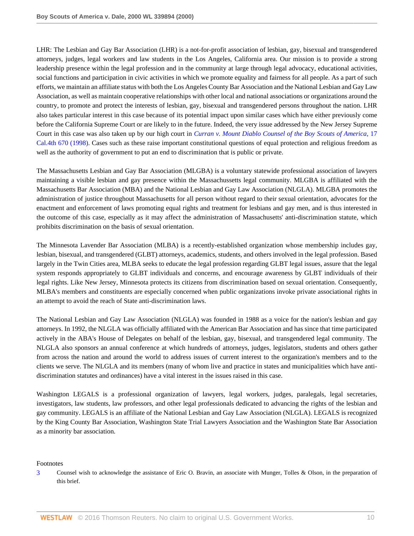LHR: The Lesbian and Gay Bar Association (LHR) is a not-for-profit association of lesbian, gay, bisexual and transgendered attorneys, judges, legal workers and law students in the Los Angeles, California area. Our mission is to provide a strong leadership presence within the legal profession and in the community at large through legal advocacy, educational activities, social functions and participation in civic activities in which we promote equality and fairness for all people. As a part of such efforts, we maintain an affiliate status with both the Los Angeles County Bar Association and the National Lesbian and Gay Law Association, as well as maintain cooperative relationships with other local and national associations or organizations around the country, to promote and protect the interests of lesbian, gay, bisexual and transgendered persons throughout the nation. LHR also takes particular interest in this case because of its potential impact upon similar cases which have either previously come before the California Supreme Court or are likely to in the future. Indeed, the very issue addressed by the New Jersey Supreme Court in this case was also taken up by our high court in *[Curran v. Mount Diablo Counsel of the Boy Scouts of America,](http://www.westlaw.com/Link/Document/FullText?findType=Y&serNum=1998075406&pubNum=4040&originatingDoc=I0ff6a7736be711d8b50e840760be4d98&refType=RP&originationContext=document&vr=3.0&rs=cblt1.0&transitionType=DocumentItem&contextData=(sc.Search))* 17 [Cal.4th 670 \(1998\).](http://www.westlaw.com/Link/Document/FullText?findType=Y&serNum=1998075406&pubNum=4040&originatingDoc=I0ff6a7736be711d8b50e840760be4d98&refType=RP&originationContext=document&vr=3.0&rs=cblt1.0&transitionType=DocumentItem&contextData=(sc.Search)) Cases such as these raise important constitutional questions of equal protection and religious freedom as well as the authority of government to put an end to discrimination that is public or private.

The Massachusetts Lesbian and Gay Bar Association (MLGBA) is a voluntary statewide professional association of lawyers maintaining a visible lesbian and gay presence within the Massachussetts legal community. MLGBA is affiliated with the Massachusetts Bar Association (MBA) and the National Lesbian and Gay Law Association (NLGLA). MLGBA promotes the administration of justice throughout Massachusetts for all person without regard to their sexual orientation, advocates for the enactment and enforcement of laws promoting equal rights and treatment for lesbians and gay men, and is thus interested in the outcome of this case, especially as it may affect the administration of Massachusetts' anti-discrimination statute, which prohibits discrimination on the basis of sexual orientation.

The Minnesota Lavender Bar Association (MLBA) is a recently-established organization whose membership includes gay, lesbian, bisexual, and transgendered (GLBT) attorneys, academics, students, and others involved in the legal profession. Based largely in the Twin Cities area, MLBA seeks to educate the legal profession regarding GLBT legal issues, assure that the legal system responds appropriately to GLBT individuals and concerns, and encourage awareness by GLBT individuals of their legal rights. Like New Jersey, Minnesota protects its citizens from discrimination based on sexual orientation. Consequently, MLBA's members and constituents are especially concerned when public organizations invoke private associational rights in an attempt to avoid the reach of State anti-discrimination laws.

The National Lesbian and Gay Law Association (NLGLA) was founded in 1988 as a voice for the nation's lesbian and gay attorneys. In 1992, the NLGLA was officially affiliated with the American Bar Association and has since that time participated actively in the ABA's House of Delegates on behalf of the lesbian, gay, bisexual, and transgendered legal community. The NLGLA also sponsors an annual conference at which hundreds of attorneys, judges, legislators, students and others gather from across the nation and around the world to address issues of current interest to the organization's members and to the clients we serve. The NLGLA and its members (many of whom live and practice in states and municipalities which have antidiscrimination statutes and ordinances) have a vital interest in the issues raised in this case.

Washington LEGALS is a professional organization of lawyers, legal workers, judges, paralegals, legal secretaries, investigators, law students, law professors, and other legal professionals dedicated to advancing the rights of the lesbian and gay community. LEGALS is an affiliate of the National Lesbian and Gay Law Association (NLGLA). LEGALS is recognized by the King County Bar Association, Washington State Trial Lawyers Association and the Washington State Bar Association as a minority bar association.

## Footnotes

<span id="page-9-0"></span>[<sup>3</sup>](#page-0-0) Counsel wish to acknowledge the assistance of Eric O. Bravin, an associate with Munger, Tolles & Olson, in the preparation of this brief.